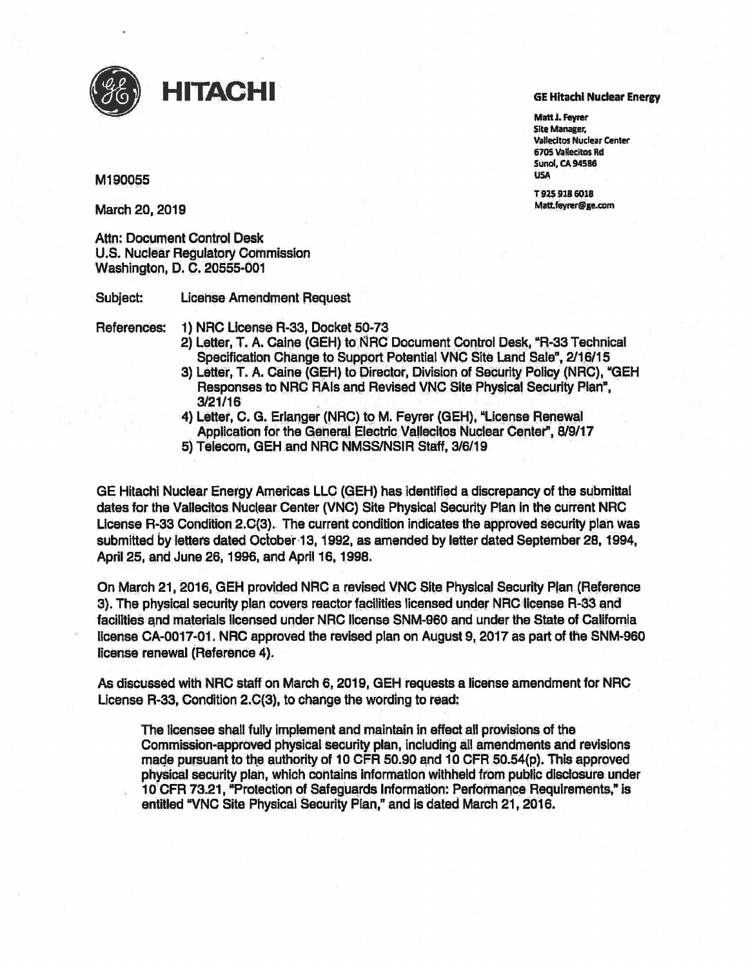

## HITACHI

## M190055

March 20, 2019

**Attn: Document Control Desk U.S. Nuclear Regulatory Commission** Washington, D. C. 20555-001

Subject: **License Amendment Request** 

References:

1) NRC License R-33, Docket 50-73

- 2) Letter, T. A. Caine (GEH) to NRC Document Control Desk, "R-33 Technical Specification Change to Support Potential VNC Site Land Sale", 2/16/15
- 3) Letter, T. A. Caine (GEH) to Director, Division of Security Policy (NRC), "GEH Responses to NRC RAIs and Revised VNC Site Physical Security Plan",  $3/21/16$
- 4) Letter, C. G. Erlanger (NRC) to M. Feyrer (GEH), "License Renewal Application for the General Electric Vallecitos Nuclear Center", 8/9/17
- 5) Telecom, GEH and NRC NMSS/NSIR Staff, 3/6/19

GE Hitachi Nuclear Energy Americas LLC (GEH) has identified a discrepancy of the submittal dates for the Vallecitos Nuclear Center (VNC) Site Physical Security Plan in the current NRC License R-33 Condition 2.C(3). The current condition indicates the approved security plan was submitted by letters dated October 13, 1992, as amended by letter dated September 28, 1994, April 25, and June 26, 1996, and April 16, 1998.

On March 21, 2016, GEH provided NRC a revised VNC Site Physical Security Plan (Reference 3). The physical security plan covers reactor facilities licensed under NRC license R-33 and facilities and materials licensed under NRC license SNM-960 and under the State of California license CA-0017-01. NRC approved the revised plan on August 9, 2017 as part of the SNM-960 license renewal (Reference 4).

As discussed with NRC staff on March 6, 2019, GEH requests a license amendment for NRC License R-33, Condition 2.C(3), to change the wording to read:

The licensee shall fully implement and maintain in effect all provisions of the Commission-approved physical security plan, including all amendments and revisions made pursuant to the authority of 10 CFR 50.90 and 10 CFR 50.54(p). This approved physical security plan, which contains information withheld from public disclosure under 10 CFR 73.21, "Protection of Safeguards Information: Performance Regulrements," is entitled "VNC Site Physical Security Plan," and is dated March 21, 2016.

## **GE Hitachl Nuclear Energy**

Matt J. Feyrer **Site Manager, Vallecitos Nuclear Center** 6705 Vallecitos Rd **Sunol, CA 94586 USA** 

T925 918 6018 Matt.feyrer@ge.com